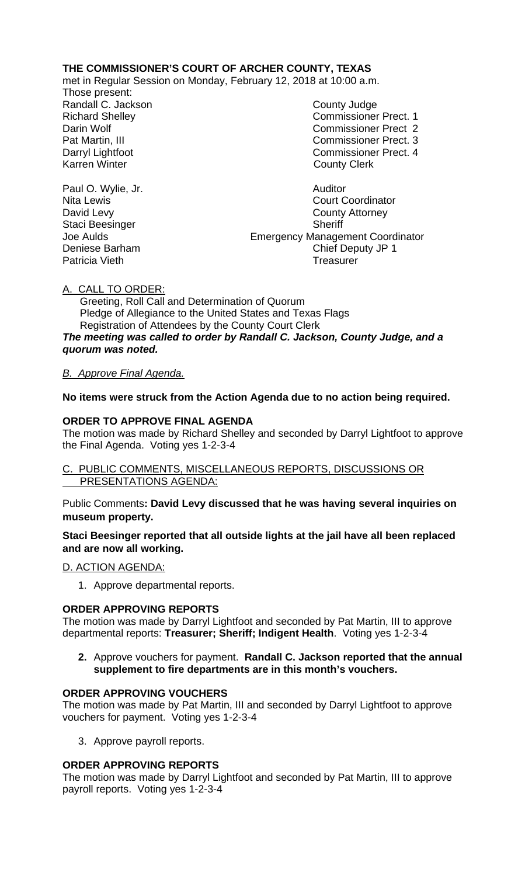## **THE COMMISSIONER'S COURT OF ARCHER COUNTY, TEXAS**

met in Regular Session on Monday, February 12, 2018 at 10:00 a.m.

Those present: Randall C. Jackson County Judge

Richard Shelley **Commissioner Prect. 1** Darin Wolf Commissioner Prect 2 Pat Martin, III Commissioner Prect. 3 Darryl Lightfoot **Commissioner Prect. 4**<br>
Karren Winter **County County Clerk County Clerk** 

Paul O. Wylie, Jr. **Auditor Paul O. Wylie, Jr. Auditor** Nita Lewis<br>
David Levy<br>
David Levy<br>
County Attorney **County Attorney** Staci Beesinger Sheriff Joe Aulds Emergency Management Coordinator Deniese Barham Chief Deputy JP 1 Patricia Vieth **Treasurer** Treasurer

A. CALL TO ORDER:

 Greeting, Roll Call and Determination of Quorum Pledge of Allegiance to the United States and Texas Flags Registration of Attendees by the County Court Clerk *The meeting was called to order by Randall C. Jackson, County Judge, and a quorum was noted.*

# *B. Approve Final Agenda.*

**No items were struck from the Action Agenda due to no action being required.**

## **ORDER TO APPROVE FINAL AGENDA**

The motion was made by Richard Shelley and seconded by Darryl Lightfoot to approve the Final Agenda. Voting yes 1-2-3-4

## C. PUBLIC COMMENTS, MISCELLANEOUS REPORTS, DISCUSSIONS OR PRESENTATIONS AGENDA:

Public Comments**: David Levy discussed that he was having several inquiries on museum property.**

## **Staci Beesinger reported that all outside lights at the jail have all been replaced and are now all working.**

## D. ACTION AGENDA:

1. Approve departmental reports.

## **ORDER APPROVING REPORTS**

The motion was made by Darryl Lightfoot and seconded by Pat Martin, III to approve departmental reports: **Treasurer; Sheriff; Indigent Health**. Voting yes 1-2-3-4

**2.** Approve vouchers for payment. **Randall C. Jackson reported that the annual supplement to fire departments are in this month's vouchers.**

## **ORDER APPROVING VOUCHERS**

The motion was made by Pat Martin, III and seconded by Darryl Lightfoot to approve vouchers for payment. Voting yes 1-2-3-4

3. Approve payroll reports.

## **ORDER APPROVING REPORTS**

The motion was made by Darryl Lightfoot and seconded by Pat Martin, III to approve payroll reports. Voting yes 1-2-3-4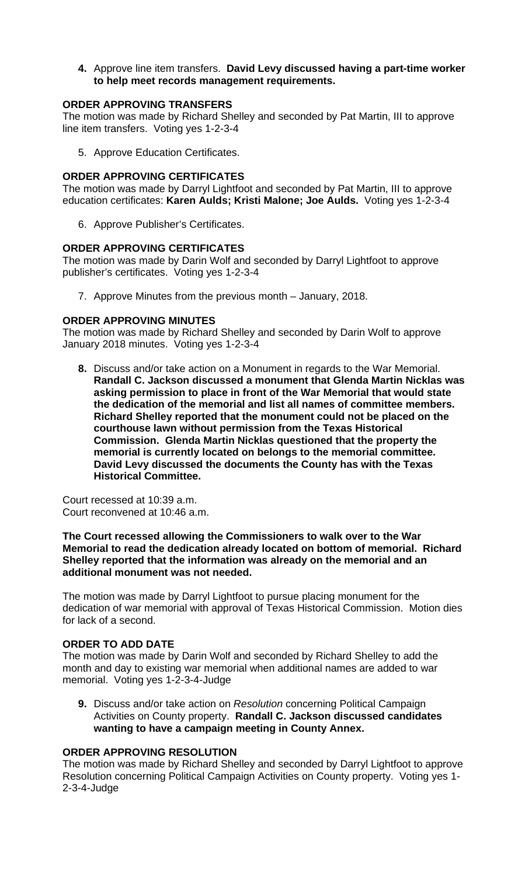**4.** Approve line item transfers. **David Levy discussed having a part-time worker to help meet records management requirements.** 

### **ORDER APPROVING TRANSFERS**

The motion was made by Richard Shelley and seconded by Pat Martin, III to approve line item transfers. Voting yes 1-2-3-4

5. Approve Education Certificates.

### **ORDER APPROVING CERTIFICATES**

The motion was made by Darryl Lightfoot and seconded by Pat Martin, III to approve education certificates: **Karen Aulds; Kristi Malone; Joe Aulds.** Voting yes 1-2-3-4

6. Approve Publisher's Certificates.

### **ORDER APPROVING CERTIFICATES**

The motion was made by Darin Wolf and seconded by Darryl Lightfoot to approve publisher's certificates. Voting yes 1-2-3-4

7. Approve Minutes from the previous month – January, 2018.

### **ORDER APPROVING MINUTES**

The motion was made by Richard Shelley and seconded by Darin Wolf to approve January 2018 minutes. Voting yes 1-2-3-4

**8.** Discuss and/or take action on a Monument in regards to the War Memorial. **Randall C. Jackson discussed a monument that Glenda Martin Nicklas was asking permission to place in front of the War Memorial that would state the dedication of the memorial and list all names of committee members. Richard Shelley reported that the monument could not be placed on the courthouse lawn without permission from the Texas Historical Commission. Glenda Martin Nicklas questioned that the property the memorial is currently located on belongs to the memorial committee. David Levy discussed the documents the County has with the Texas Historical Committee.**

Court recessed at 10:39 a.m. Court reconvened at 10:46 a.m.

#### **The Court recessed allowing the Commissioners to walk over to the War Memorial to read the dedication already located on bottom of memorial. Richard Shelley reported that the information was already on the memorial and an additional monument was not needed.**

The motion was made by Darryl Lightfoot to pursue placing monument for the dedication of war memorial with approval of Texas Historical Commission. Motion dies for lack of a second.

#### **ORDER TO ADD DATE**

The motion was made by Darin Wolf and seconded by Richard Shelley to add the month and day to existing war memorial when additional names are added to war memorial. Voting yes 1-2-3-4-Judge

**9.** Discuss and/or take action on *Resolution* concerning Political Campaign Activities on County property. **Randall C. Jackson discussed candidates wanting to have a campaign meeting in County Annex.**

# **ORDER APPROVING RESOLUTION**

The motion was made by Richard Shelley and seconded by Darryl Lightfoot to approve Resolution concerning Political Campaign Activities on County property. Voting yes 1- 2-3-4-Judge